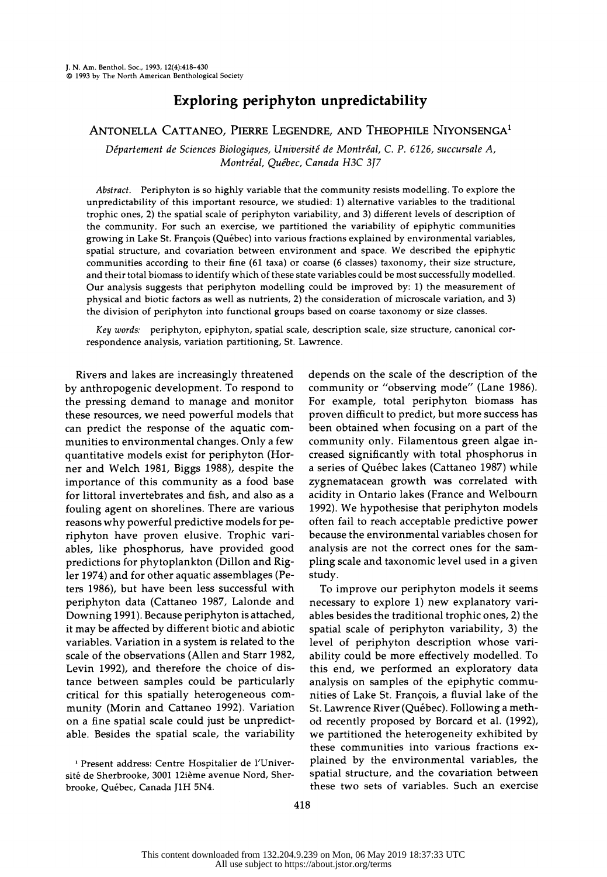# Exploring periphyton unpredictability

# ANTONELLA CATTANEO, PIERRE LEGENDRE, AND THEOPHILE NIYONSENGA1

Département de Sciences Biologiques, Université de Montréal, C. P. 6126, succursale A, Montréal, Québec, Canada H3C 3J7

 Abstract. Periphyton is so highly variable that the community resists modelling. To explore the unpredictability of this important resource, we studied: 1) alternative variables to the traditional trophic ones, 2) the spatial scale of periphyton variability, and 3) different levels of description of the community. For such an exercise, we partitioned the variability of epiphytic communities growing in Lake St. François (Québec) into various fractions explained by environmental variables, spatial structure, and covariation between environment and space. We described the epiphytic communities according to their fine (61 taxa) or coarse (6 classes) taxonomy, their size structure, and their total biomass to identify which of these state variables could be most successfully modelled. Our analysis suggests that periphyton modelling could be improved by: 1) the measurement of physical and biotic factors as well as nutrients, 2) the consideration of microscale variation, and 3) the division of periphyton into functional groups based on coarse taxonomy or size classes.

 Key words: periphyton, epiphyton, spatial scale, description scale, size structure, canonical cor respondence analysis, variation partitioning, St. Lawrence.

 Rivers and lakes are increasingly threatened by anthropogenic development. To respond to the pressing demand to manage and monitor these resources, we need powerful models that can predict the response of the aquatic com munities to environmental changes. Only a few quantitative models exist for periphyton (Hor ner and Welch 1981, Biggs 1988), despite the importance of this community as a food base for littoral invertebrates and fish, and also as a fouling agent on shorelines. There are various reasons why powerful predictive models for pe riphyton have proven elusive. Trophic vari ables, like phosphorus, have provided good predictions for phytoplankton (Dillon and Rig ler 1974) and for other aquatic assemblages (Pe ters 1986), but have been less successful with periphyton data (Cattaneo 1987, Lalonde and Downing 1991). Because periphyton is attached, it may be affected by different biotic and abiotic variables. Variation in a system is related to the scale of the observations (Allen and Starr 1982, Levin 1992), and therefore the choice of dis tance between samples could be particularly critical for this spatially heterogeneous com munity (Morin and Cattaneo 1992). Variation on a fine spatial scale could just be unpredict able. Besides the spatial scale, the variability

 1 Present address: Centre Hospitalier de l'Univer site de Sherbrooke, 3001 12ieme avenue Nord, Sher brooke, Quebec, Canada J1H 5N4.

 depends on the scale of the description of the community or "observing mode" (Lane 1986). For example, total periphyton biomass has proven difficult to predict, but more success has been obtained when focusing on a part of the community only. Filamentous green algae in creased significantly with total phosphorus in a series of Quebec lakes (Cattaneo 1987) while zygnematacean growth was correlated with acidity in Ontario lakes (France and Welbourn 1992). We hypothesise that periphyton models often fail to reach acceptable predictive power because the environmental variables chosen for analysis are not the correct ones for the sam pling scale and taxonomic level used in a given study.

 To improve our periphyton models it seems necessary to explore 1) new explanatory vari ables besides the traditional trophic ones, 2) the spatial scale of periphyton variability, 3) the level of periphyton description whose vari ability could be more effectively modelled. To this end, we performed an exploratory data analysis on samples of the epiphytic commu nities of Lake St. François, a fluvial lake of the St. Lawrence River (Québec). Following a meth od recently proposed by Borcard et al. (1992), we partitioned the heterogeneity exhibited by these communities into various fractions ex plained by the environmental variables, the spatial structure, and the covariation between these two sets of variables. Such an exercise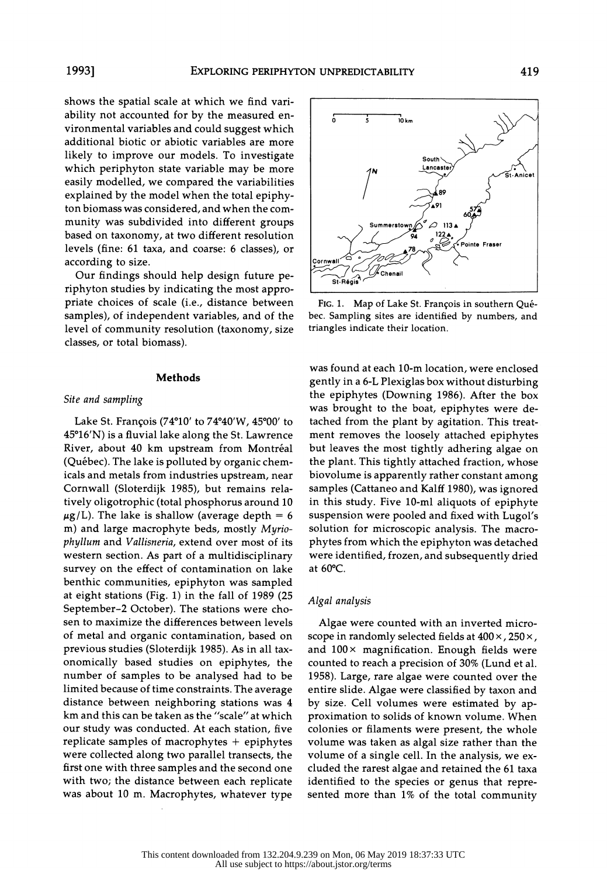shows the spatial scale at which we find vari ability not accounted for by the measured en vironmental variables and could suggest which additional biotic or abiotic variables are more likely to improve our models. To investigate which periphyton state variable may be more easily modelled, we compared the variabilities explained by the model when the total epiphy ton biomass was considered, and when the com munity was subdivided into different groups based on taxonomy, at two different resolution levels (fine: 61 taxa, and coarse: 6 classes), or according to size.

Our findings should help design future pe riphyton studies by indicating the most appro priate choices of scale (i.e., distance between samples), of independent variables, and of the level of community resolution (taxonomy, size classes, or total biomass).

## Methods

# Site and sampling

 Lake St. Francois (74?10' to 74?40'W, 45?00' to 45?16'N) is a fluvial lake along the St. Lawrence River, about 40 km upstream from Montréal (Quebec). The lake is polluted by organic chem icals and metals from industries upstream, near Cornwall (Sloterdijk 1985), but remains rela tively oligotrophic (total phosphorus around 10  $\mu$ g/L). The lake is shallow (average depth = 6 m) and large macrophyte beds, mostly Myrio phyllum and Vallisneria, extend over most of its western section. As part of a multidisciplinary survey on the effect of contamination on lake benthic communities, epiphyton was sampled at eight stations (Fig. 1) in the fall of 1989 (25 September-2 October). The stations were cho sen to maximize the differences between levels of metal and organic contamination, based on previous studies (Sloterdijk 1985). As in all tax onomically based studies on epiphytes, the number of samples to be analysed had to be limited because of time constraints. The average distance between neighboring stations was 4 km and this can be taken as the "scale" at which our study was conducted. At each station, five replicate samples of macrophytes + epiphytes were collected along two parallel transects, the first one with three samples and the second one with two; the distance between each replicate was about 10 m. Macrophytes, whatever type



FIG. 1. Map of Lake St. François in southern Qué bec. Sampling sites are identified by numbers, and triangles indicate their location.

 was found at each 10-m location, were enclosed gently in a 6-L Plexiglas box without disturbing the epiphytes (Downing 1986). After the box was brought to the boat, epiphytes were de tached from the plant by agitation. This treat ment removes the loosely attached epiphytes but leaves the most tightly adhering algae on the plant. This tightly attached fraction, whose biovolume is apparently rather constant among samples (Cattaneo and Kalff 1980), was ignored in this study. Five 10-ml aliquots of epiphyte suspension were pooled and fixed with Lugol's solution for microscopic analysis. The macro phytes from which the epiphyton was detached were identified, frozen, and subsequently dried at 60?C.

### Algal analysis

 Algae were counted with an inverted micro scope in randomly selected fields at  $400 \times$ , 250 $\times$ , and  $100 \times$  magnification. Enough fields were counted to reach a precision of 30% (Lund et al. 1958). Large, rare algae were counted over the entire slide. Algae were classified by taxon and by size. Cell volumes were estimated by ap proximation to solids of known volume. When colonies or filaments were present, the whole volume was taken as algal size rather than the volume of a single cell. In the analysis, we ex cluded the rarest algae and retained the 61 taxa identified to the species or genus that repre sented more than 1% of the total community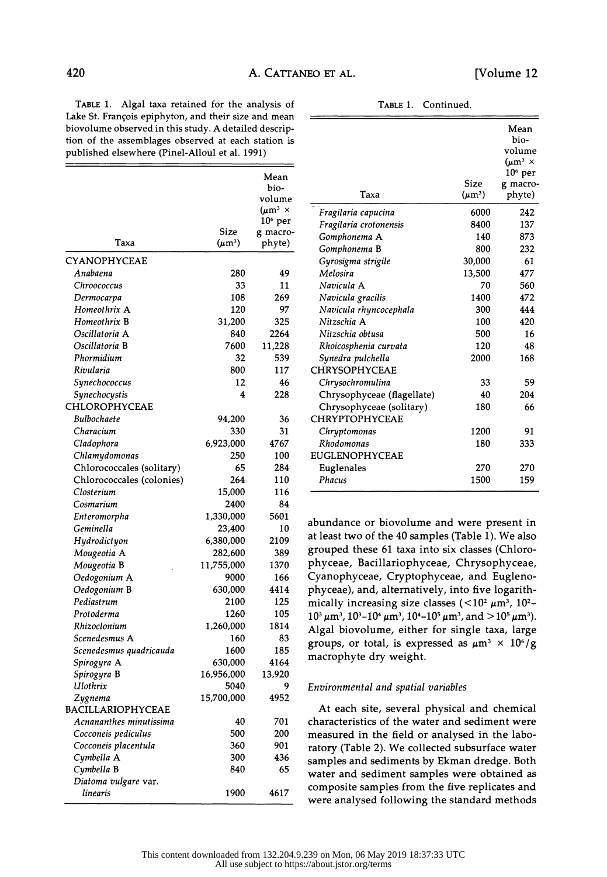TABLE 1. Algal taxa retained for the analysis of Lake St. François epiphyton, and their size and mean biovolume observed in this study. A detailed descrip tion of the assemblages observed at each station is

TABLE 1. Continued.

| published elsewhere (Pinel-Alloul et al. 1991) |             |                                |  |  |  |
|------------------------------------------------|-------------|--------------------------------|--|--|--|
|                                                |             | Mean<br>bio-                   |  |  |  |
|                                                |             | volume                         |  |  |  |
|                                                |             | $(\mu m^3 \times$<br>$106$ per |  |  |  |
|                                                | Size        | g macro-                       |  |  |  |
| Taxa                                           | $(\mu m^3)$ | phyte)                         |  |  |  |
| CYANOPHYCEAE                                   |             |                                |  |  |  |
| Anabaena                                       | 280         | 49                             |  |  |  |
| Chroococcus                                    | 33          | 11                             |  |  |  |
| Dermocarpa                                     | 108         | 269                            |  |  |  |
| Homeothrix A                                   | 120         | 97                             |  |  |  |
| Homeothrix B                                   | 31,200      | 325                            |  |  |  |
| Oscillatoria A                                 | 840         | 2264                           |  |  |  |
| Oscillatoria B                                 | 7600        | 11,228                         |  |  |  |
| Phormidium                                     | 32          | 539                            |  |  |  |
| Rivularia                                      | 800         | 117                            |  |  |  |
| Synechococcus                                  | 12          | 46                             |  |  |  |
| Synechocystis                                  | 4           | 228                            |  |  |  |
| CHLOROPHYCEAE                                  |             |                                |  |  |  |
| Bulbochaete                                    | 94,200      | 36                             |  |  |  |
| Characium                                      | 330         | 31                             |  |  |  |
| Cladophora                                     | 6,923,000   | 4767                           |  |  |  |
| Chlamydomonas                                  | 250         | 100                            |  |  |  |
| Chlorococcales (solitary)                      | 65          | 284                            |  |  |  |
| Chlorococcales (colonies)                      | 264         | 110                            |  |  |  |
| Closterium                                     | 15,000      | 116                            |  |  |  |
| Cosmarium                                      | 2400        | 84                             |  |  |  |
| Enteromorpha                                   | 1,330,000   | 5601                           |  |  |  |
| Geminella                                      | 23,400      | 10                             |  |  |  |
| Hydrodictyon                                   | 6,380,000   | 2109                           |  |  |  |
| Mougeotia A                                    | 282,600     | 389                            |  |  |  |
| Mougeotia B                                    | 11,755,000  | 1370                           |  |  |  |
| Oedogonium A                                   | 9000        | 166                            |  |  |  |
| Oedogonium B                                   | 630,000     | 4414                           |  |  |  |
| Pediastrum                                     | 2100        | 125                            |  |  |  |
| Protoderma                                     | 1260        | 105                            |  |  |  |
| Rhizoclonium                                   | 1,260,000   | 1814                           |  |  |  |
| Scenedesmus A                                  | 160         | 83                             |  |  |  |
| Scenedesmus quadricauda                        | 1600        | 185                            |  |  |  |
| Spirogyra A                                    | 630,000     | 4164                           |  |  |  |
| Spirogyra B                                    | 16,956,000  | 13,920                         |  |  |  |
| Ulothrix                                       | 5040        | 9                              |  |  |  |
| Zygnema                                        | 15,700,000  | 4952                           |  |  |  |
| BACILLARIOPHYCEAE                              |             |                                |  |  |  |
| Acnananthes minutissima                        | 40          | 701                            |  |  |  |
| Cocconeis pediculus                            | 500         | 200                            |  |  |  |
| Cocconeis placentula                           | 360         | 901                            |  |  |  |
| Cymbella A                                     | 300         | 436                            |  |  |  |
| Cymbella B                                     | 840         | 65                             |  |  |  |
| Diatoma vulgare var.<br>linearis               | 1900        | 4617                           |  |  |  |
|                                                |             |                                |  |  |  |

| Taxa                       | Size<br>$(\mu m^3)$ | Mean<br>bio-<br>volume<br>$(\mu m^3 \times$<br>$106$ per<br>g macro-<br>phyte) |
|----------------------------|---------------------|--------------------------------------------------------------------------------|
| Fragilaria capucina        | 6000                | 242                                                                            |
| Fragilaria crotonensis     | 8400                | 137                                                                            |
| Gomphonema A               | 140                 | 873                                                                            |
| Gomphonema B               | 800                 | 232                                                                            |
| Gyrosigma strigile         | 30,000              | 61                                                                             |
| Melosira                   | 13,500              | 477                                                                            |
| Navicula A                 | 70                  | 560                                                                            |
| Navicula gracilis          | 1400                | 472                                                                            |
| Navicula rhyncocephala     | 300                 | 444                                                                            |
| Nitzschia A                | 100                 | 420                                                                            |
| Nitzschia obtusa           | 500                 | 16                                                                             |
| Rhoicosphenia curvata      | 120                 | 48                                                                             |
| Synedra pulchella          | 2000                | 168                                                                            |
| CHRYSOPHYCEAE              |                     |                                                                                |
| Chrysochromulina           | 33                  | 59                                                                             |
| Chrysophyceae (flagellate) | 40                  | 204                                                                            |
| Chrysophyceae (solitary)   | 180                 | 66                                                                             |
| <b>CHRYPTOPHYCEAE</b>      |                     |                                                                                |
| Chryptomonas               | 1200                | 91                                                                             |
| Rhodomonas                 | 180                 | 333                                                                            |
| EUGLENOPHYCEAE             |                     |                                                                                |
| Euglenales                 | 270                 | 270                                                                            |
| Phacus                     | 1500                | 159                                                                            |

 abundance or biovolume and were present in at least two of the 40 samples (Table 1). We also grouped these 61 taxa into six classes (Chloro phyceae, Bacillariophyceae, Chrysophyceae, Cyanophyceae, Cryptophyceae, and Eugleno phyceae), and, alternatively, into five logarith mically increasing size classes ( $<$ 10<sup>2</sup>  $\mu$ m<sup>3</sup>, 10<sup>2</sup>- $10^3 \mu m^3$ ,  $10^3 - 10^4 \mu m^3$ ,  $10^4 - 10^5 \mu m^3$ , and  $> 10^5 \mu m^3$ ). Algal biovolume, either for single taxa, large groups, or total, is expressed as  $\mu$ m<sup>3</sup> × 10<sup>6</sup>/g macrophyte dry weight.

# Environmental and spatial variables

 At each site, several physical and chemical characteristics of the water and sediment were measured in the field or analysed in the laboratory (Table 2). We collected subsurface water samples and sediments by Ekman dredge. Both water and sediment samples were obtained as composite samples from the five replicates and were analysed following the standard methods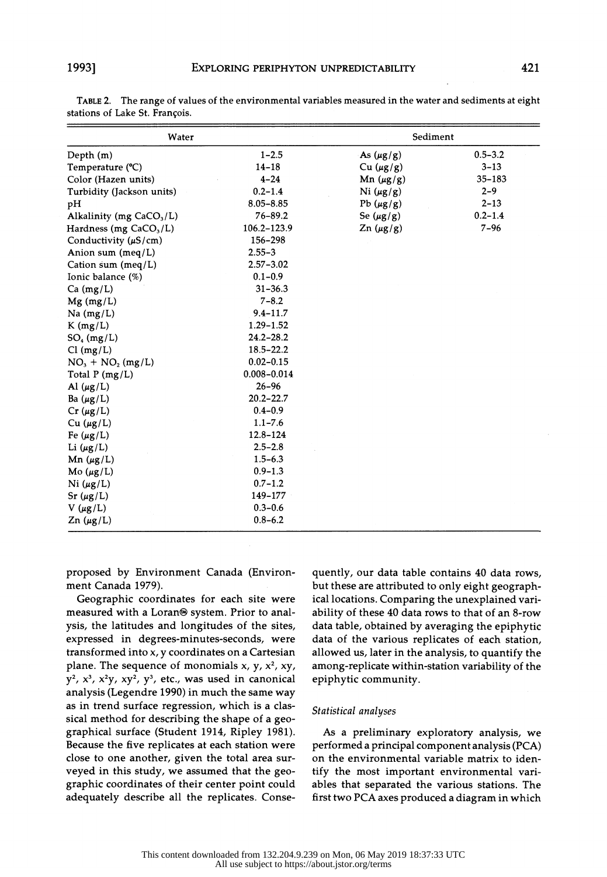| Water                      |                 | Sediment       |             |  |  |
|----------------------------|-----------------|----------------|-------------|--|--|
| Depth $(m)$                | $1 - 2.5$       | As $(\mu g/g)$ | $0.5 - 3.2$ |  |  |
| Temperature (°C)           | $14 - 18$       | Cu $(\mu g/g)$ | $3 - 13$    |  |  |
| Color (Hazen units)        | $4 - 24$        | Mn $(\mu g/g)$ | 35-183      |  |  |
| Turbidity (Jackson units)  | $0.2 - 1.4$     | Ni $(\mu g/g)$ | $2 - 9$     |  |  |
| pH                         | $8.05 - 8.85$   | Pb $(\mu g/g)$ | $2 - 13$    |  |  |
| Alkalinity (mg $CaCO3/L$ ) | $76 - 89.2$     | Se $(\mu g/g)$ | $0.2 - 1.4$ |  |  |
| Hardness (mg $CaCO3/L$ )   | 106.2-123.9     | $Zn(\mu g/g)$  | $7 - 96$    |  |  |
| Conductivity $(\mu S/cm)$  | 156-298         |                |             |  |  |
| Anion sum $(meq/L)$        | $2.55 - 3$      |                |             |  |  |
| Cation sum (meq/L)         | $2.57 - 3.02$   |                |             |  |  |
| Ionic balance (%)          | $0.1 - 0.9$     |                |             |  |  |
| $Ca$ (mg/L)                | $31 - 36.3$     |                |             |  |  |
| $Mg$ (mg/L)                | $7 - 8.2$       |                |             |  |  |
| $Na$ (mg/L)                | $9.4 - 11.7$    |                |             |  |  |
| $K$ (mg/L)                 | $1.29 - 1.52$   |                |             |  |  |
| $SO_4$ (mg/L)              | $24.2 - 28.2$   |                |             |  |  |
| Cl(mg/L)                   | $18.5 - 22.2$   |                |             |  |  |
| $NO3 + NO2 (mg/L)$         | $0.02 - 0.15$   |                |             |  |  |
| Total P (mg/L)             | $0.008 - 0.014$ |                |             |  |  |
| Al $(\mu g/L)$             | $26 - 96$       |                |             |  |  |
| Ba $(\mu g/L)$             | $20.2 - 22.7$   |                |             |  |  |
| $Cr(\mu g/L)$              | $0.4 - 0.9$     |                |             |  |  |
| Cu $(\mu g/L)$             | $1.1 - 7.6$     |                |             |  |  |
| Fe $(\mu g/L)$             | $12.8 - 124$    |                |             |  |  |
| Li $(\mu g/L)$             | $2.5 - 2.8$     |                |             |  |  |
| Mn $(\mu g/L)$             | $1.5 - 6.3$     |                |             |  |  |
| Mo $(\mu g/L)$             | $0.9 - 1.3$     |                |             |  |  |
| Ni $(\mu g/L)$             | $0.7 - 1.2$     |                |             |  |  |
| $Sr(\mu g/L)$              | 149-177         |                |             |  |  |
| $V(\mu g/L)$               | $0.3 - 0.6$     |                |             |  |  |
| $Zn(\mu g/L)$              | $0.8 - 6.2$     |                |             |  |  |

 TABLE 2. The range of values of the environmental variables measured in the water and sediments at eight stations of Lake St. François.

 proposed by Environment Canada (Environ ment Canada 1979).

 Geographic coordinates for each site were measured with a Loran<sup>®</sup> system. Prior to anal ysis, the latitudes and longitudes of the sites, expressed in degrees-minutes-seconds, were transformed into x, y coordinates on a Cartesian plane. The sequence of monomials x, y,  $x^2$ , xy,  $y^2$ ,  $x^3$ ,  $x^2y$ ,  $xy^2$ ,  $y^3$ , etc., was used in canonical analysis (Legendre 1990) in much the same way as in trend surface regression, which is a clas sical method for describing the shape of a geo graphical surface (Student 1914, Ripley 1981). Because the five replicates at each station were close to one another, given the total area sur veyed in this study, we assumed that the geo graphic coordinates of their center point could adequately describe all the replicates. Conse quently, our data table contains 40 data rows, but these are attributed to only eight geograph ical locations. Comparing the unexplained vari ability of these 40 data rows to that of an 8-row data table, obtained by averaging the epiphytic data of the various replicates of each station, allowed us, later in the analysis, to quantify the among-replicate within-station variability of the epiphytic community.

### Statistical analyses

 As a preliminary exploratory analysis, we performed a principal component analysis (PCA) on the environmental variable matrix to iden tify the most important environmental vari ables that separated the various stations. The first two PCA axes produced a diagram in which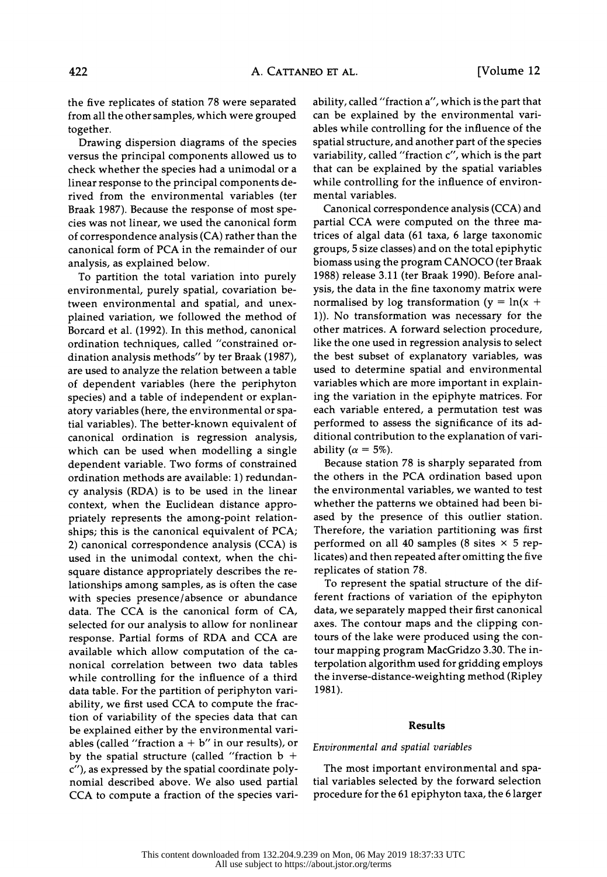the five replicates of station 78 were separated from all the other samples, which were grouped together.

 Drawing dispersion diagrams of the species versus the principal components allowed us to check whether the species had a unimodal or a linear response to the principal components de rived from the environmental variables (ter Braak 1987). Because the response of most spe cies was not linear, we used the canonical form of correspondence analysis (CA) rather than the canonical form of PCA in the remainder of our analysis, as explained below.

 To partition the total variation into purely environmental, purely spatial, covariation be tween environmental and spatial, and unex plained variation, we followed the method of Borcard et al. (1992). In this method, canonical ordination techniques, called "constrained or dination analysis methods" by ter Braak (1987), are used to analyze the relation between a table of dependent variables (here the periphyton species) and a table of independent or explan atory variables (here, the environmental or spa tial variables). The better-known equivalent of canonical ordination is regression analysis, which can be used when modelling a single dependent variable. Two forms of constrained ordination methods are available: 1) redundan cy analysis (RDA) is to be used in the linear context, when the Euclidean distance appro priately represents the among-point relation ships; this is the canonical equivalent of PCA; 2) canonical correspondence analysis (CCA) is used in the unimodal context, when the chi square distance appropriately describes the re lationships among samples, as is often the case with species presence/absence or abundance data. The CCA is the canonical form of CA, selected for our analysis to allow for nonlinear response. Partial forms of RDA and CCA are available which allow computation of the ca nonical correlation between two data tables while controlling for the influence of a third data table. For the partition of periphyton vari ability, we first used CCA to compute the frac tion of variability of the species data that can be explained either by the environmental vari ables (called "fraction  $a + b$ " in our results), or by the spatial structure (called "fraction  $b +$  c"), as expressed by the spatial coordinate poly nomial described above. We also used partial CCA to compute a fraction of the species vari ability, called "fraction a", which is the part that can be explained by the environmental vari ables while controlling for the influence of the spatial structure, and another part of the species variability, called "fraction c", which is the part that can be explained by the spatial variables while controlling for the influence of environ mental variables.

 Canonical correspondence analysis (CCA) and partial CCA were computed on the three ma trices of algal data (61 taxa, 6 large taxonomic groups, 5 size classes) and on the total epiphytic biomass using the program CANOCO (ter Braak 1988) release 3.11 (ter Braak 1990). Before anal ysis, the data in the fine taxonomy matrix were normalised by log transformation ( $y = ln(x +$  1)). No transformation was necessary for the other matrices. A forward selection procedure, like the one used in regression analysis to select the best subset of explanatory variables, was used to determine spatial and environmental variables which are more important in explain ing the variation in the epiphyte matrices. For each variable entered, a permutation test was performed to assess the significance of its ad ditional contribution to the explanation of vari ability ( $\alpha = 5\%$ ).

 Because station 78 is sharply separated from the others in the PCA ordination based upon the environmental variables, we wanted to test whether the patterns we obtained had been bi ased by the presence of this outlier station. Therefore, the variation partitioning was first performed on all 40 samples (8 sites  $\times$  5 rep licates) and then repeated after omitting the five replicates of station 78.

 To represent the spatial structure of the dif ferent fractions of variation of the epiphyton data, we separately mapped their first canonical axes. The contour maps and the clipping con tours of the lake were produced using the con tour mapping program MacGridzo 3.30. The in terpolation algorithm used for gridding employs the inverse-distance-weighting method (Ripley 1981).

#### Results

### Environmental and spatial variables

 The most important environmental and spa tial variables selected by the forward selection procedure for the 61 epiphyton taxa, the 6 larger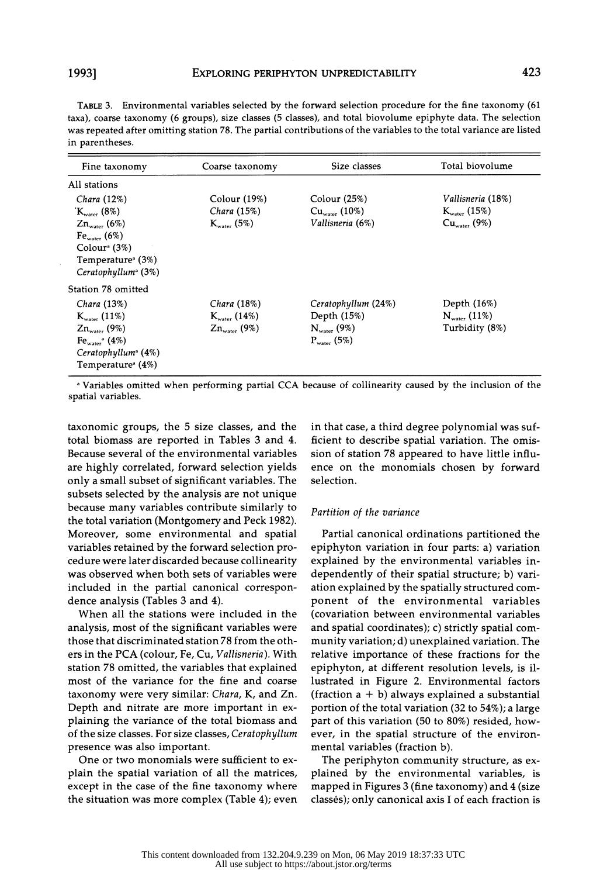|                 | TABLE 3. Environmental variables selected by the forward selection procedure for the fine taxonomy (61              |
|-----------------|---------------------------------------------------------------------------------------------------------------------|
|                 | taxa), coarse taxonomy (6 groups), size classes (5 classes), and total biovolume epiphyte data. The selection       |
|                 | was repeated after omitting station 78. The partial contributions of the variables to the total variance are listed |
| in parentheses. |                                                                                                                     |

| Fine taxonomy                                | Coarse taxonomy          | Size classes            | Total biovolume          |
|----------------------------------------------|--------------------------|-------------------------|--------------------------|
| All stations                                 |                          |                         |                          |
| Chara (12%)                                  | Color (19%)              | Color (25%)             | Vallisneria (18%)        |
| $K_{\text{water}}$ (8%)                      | Chara (15%)              | $Cu_{water}$ (10%)      | $K_{\text{water}}(15\%)$ |
| $Zn_{\text{water}}$ (6%)                     | $K_{\text{water}}$ (5%)  | Vallisneria (6%)        | $Cu_{\text{water}}(9\%)$ |
| $Fe_{water}$ (6%)                            |                          |                         |                          |
| Color <sup>a</sup> (3%)                      |                          |                         |                          |
| Temperature <sup><math>(3%)</math></sup>     |                          |                         |                          |
| $Ceratophyllum^a(3%)$                        |                          |                         |                          |
| Station 78 omitted                           |                          |                         |                          |
| Chara (13%)                                  | Chara (18%)              | Ceratophyllum (24%)     | Depth (16%)              |
| $K_{\text{water}}(11\%)$                     | $K_{\text{water}}(14\%)$ | Depth (15%)             | $N_{\text{water}}$ (11%) |
| $Zn_{\text{water}}$ (9%)                     | $Z_{n_{water}}$ (9%)     | $N_{\text{water}}$ (9%) | Turbidity (8%)           |
| $\text{Fe}_{\text{water}}$ <sup>a</sup> (4%) |                          | $P_{water}$ (5%)        |                          |
| Ceratophyllum <sup>a</sup> (4%)              |                          |                         |                          |
| Temperature <sup>®</sup> (4%)                |                          |                         |                          |

<sup>a</sup> Variables omitted when performing partial CCA because of collinearity caused by the inclusion of the variables omitted when performing<br>spatial variables.

 taxonomic groups, the 5 size classes, and the in that case, a third degree polynomial was suf taxonomic groups, the 5 size classes, and the 11 that case, a time degree polynomial was sur-<br>total biomass are reported in Tables 3 and 4. ficient to describe spatial variation. The omis- Because several of the environmental variables are highly correlated, forward selection yields only a small subset of significant variables. The subsets selected by the analysis are not unique because many variables contribute similarly to the total variation (Montgomery and Peck 1982). Moreover, some environmental and spatial variables retained by the forward selection pro cedure were later discarded because collinearity was observed when both sets of variables were included in the partial canonical correspon dence analysis (Tables 3 and 4).

 When all the stations were included in the analysis, most of the significant variables were those that discriminated station 78 from the oth ers in the PCA (colour, Fe, Cu, Vallisneria). With station 78 omitted, the variables that explained most of the variance for the fine and coarse taxonomy were very similar: Chara, K, and Zn. Depth and nitrate are more important in ex plaining the variance of the total biomass and of the size classes. For size classes, Ceratophyllum presence was also important.

 One or two monomials were sufficient to ex plain the spatial variation of all the matrices, except in the case of the fine taxonomy where the situation was more complex (Table 4); even  sion of station 78 appeared to have little influ ence on the monomials chosen by forward selection.

#### Partition of the variance

 Partial canonical ordinations partitioned the epiphyton variation in four parts: a) variation explained by the environmental variables in dependently of their spatial structure; b) vari ation explained by the spatially structured com ponent of the environmental variables (covariation between environmental variables and spatial coordinates); c) strictly spatial com munity variation; d) unexplained variation. The relative importance of these fractions for the epiphyton, at different resolution levels, is il lustrated in Figure 2. Environmental factors (fraction  $a + b$ ) always explained a substantial portion of the total variation (32 to 54%); a large part of this variation (50 to 80%) resided, how ever, in the spatial structure of the environ mental variables (fraction b).

 The periphyton community structure, as ex plained by the environmental variables, is mapped in Figures 3 (fine taxonomy) and 4 (size classes); only canonical axis I of each fraction is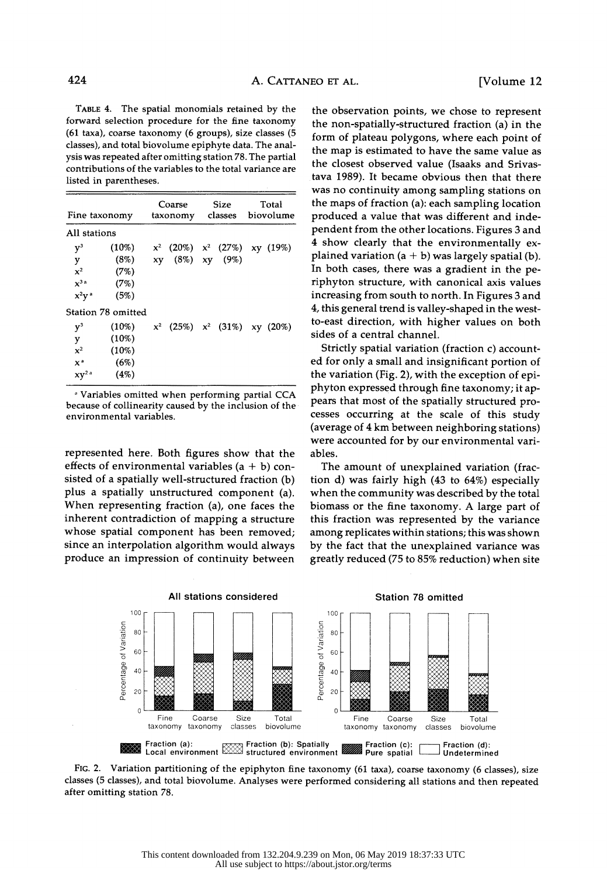TABLE 4. The spatial monomials retained by the forward selection procedure for the fine taxonomy (61 taxa), coarse taxonomy (6 groups), size classes (5 classes), and total biovolume epiphyte data. The anal ysis was repeated after omitting station 78. The partial contributions of the variables to the total variance are listed in parentheses.

| Fine taxonomy       |                    |    | Coarse<br>taxonomy               | <b>Size</b><br>classes | Total<br>biovolume |
|---------------------|--------------------|----|----------------------------------|------------------------|--------------------|
| All stations        |                    |    |                                  |                        |                    |
| $\rm v^3$           | $(10\%)$           |    | $x^2$ (20%) $x^2$ (27%) xy (19%) |                        |                    |
| y                   | (8%)               | xy |                                  | $(8\%)$ xy $(9\%)$     |                    |
| $\mathbf{x}^2$      | (7%)               |    |                                  |                        |                    |
| $x^{3a}$            | (7%)               |    |                                  |                        |                    |
| $x^2y^a$            | (5%)               |    |                                  |                        |                    |
|                     | Station 78 omitted |    |                                  |                        |                    |
| $v^3$               | $(10\%)$           |    | $x^2$ (25%) $x^2$ (31%) xy (20%) |                        |                    |
| y                   | $(10\%)$           |    |                                  |                        |                    |
| $x^2$               | $(10\%)$           |    |                                  |                        |                    |
| $x^{\mathsf{a}}$    | (6%)               |    |                                  |                        |                    |
| $xy^2$ <sup>a</sup> | (4%)               |    |                                  |                        |                    |

 a Variables omitted when performing partial CCA because of collinearity caused by the inclusion of the environmental variables.

 represented here. Both figures show that the effects of environmental variables  $(a + b)$  con sisted of a spatially well-structured fraction (b) plus a spatially unstructured component (a). When representing fraction (a), one faces the inherent contradiction of mapping a structure whose spatial component has been removed; since an interpolation algorithm would always produce an impression of continuity between

 the observation points, we chose to represent the non-spatially-structured fraction (a) in the form of plateau polygons, where each point of the map is estimated to have the same value as the closest observed value (Isaaks and Srivas tava 1989). It became obvious then that there was no continuity among sampling stations on the maps of fraction (a): each sampling location produced a value that was different and inde pendent from the other locations. Figures 3 and 4 show clearly that the environmentally ex plained variation  $(a + b)$  was largely spatial (b). In both cases, there was a gradient in the pe riphyton structure, with canonical axis values increasing from south to north. In Figures 3 and 4, this general trend is valley-shaped in the west to-east direction, with higher values on both sides of a central channel.

 Strictly spatial variation (fraction c) account ed for only a small and insignificant portion of the variation (Fig. 2), with the exception of epi phyton expressed through fine taxonomy; it ap pears that most of the spatially structured pro cesses occurring at the scale of this study (average of 4 km between neighboring stations) were accounted for by our environmental vari ables.

 The amount of unexplained variation (frac tion d) was fairly high (43 to 64%) especially when the community was described by the total biomass or the fine taxonomy. A large part of this fraction was represented by the variance among replicates within stations; this was shown by the fact that the unexplained variance was greatly reduced (75 to 85% reduction) when site



 FIG. 2. Variation partitioning of the epiphyton fine taxonomy (61 taxa), coarse taxonomy (6 classes), size classes (5 classes), and total biovolume. Analyses were performed considering all stations and then repeated after omitting station 78.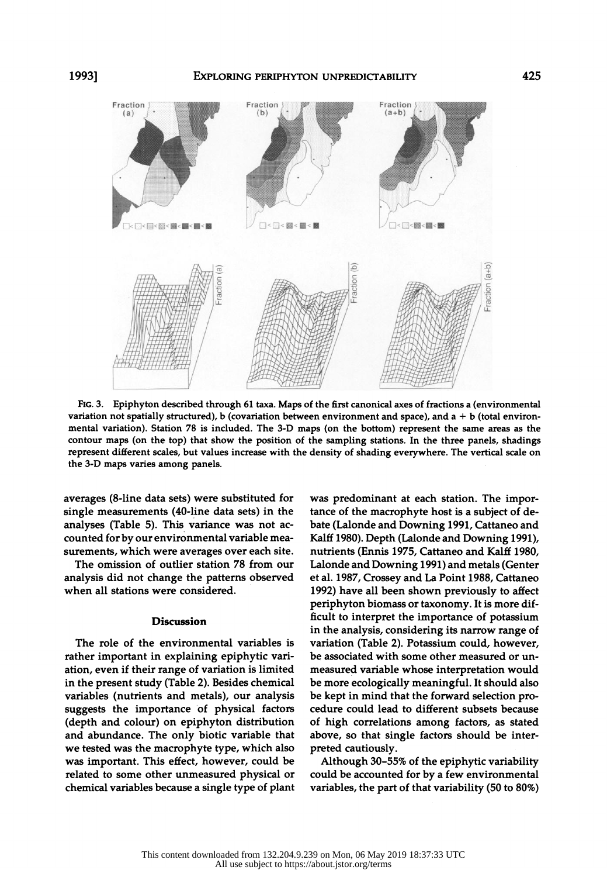

 FIG. 3. Epiphyton described through 61 taxa. Maps of the first canonical axes of fractions a (environmental variation not spatially structured), b (covariation between environment and space), and  $a + b$  (total environ mental variation). Station 78 is included. The 3-D maps (on the bottom) represent the same areas as the contour maps (on the top) that show the position of the sampling stations. In the three panels, shadings represent different scales, but values increase with the density of shading everywhere. The vertical scale on the 3-D maps varies among panels.

 averages (8-line data sets) were substituted for single measurements (40-line data sets) in the analyses (Table 5). This variance was not ac counted for by our environmental variable mea surements, which were averages over each site.

 The omission of outlier station 78 from our analysis did not change the patterns observed when all stations were considered.

## Discussion

 The role of the environmental variables is rather important in explaining epiphytic vari ation, even if their range of variation is limited in the present study (Table 2). Besides chemical variables (nutrients and metals), our analysis suggests the importance of physical factors (depth and colour) on epiphyton distribution and abundance. The only biotic variable that we tested was the macrophyte type, which also was important. This effect, however, could be related to some other unmeasured physical or chemical variables because a single type of plant  was predominant at each station. The impor tance of the macrophyte host is a subject of de bate (Lalonde and Downing 1991, Cattaneo and Kalff 1980). Depth (Lalonde and Downing 1991), nutrients (Ennis 1975, Cattaneo and Kalff 1980, Lalonde and Downing 1991) and metals (Genter et al. 1987, Crossey and La Point 1988, Cattaneo 1992) have all been shown previously to affect periphyton biomass or taxonomy. It is more dif ficult to interpret the importance of potassium in the analysis, considering its narrow range of variation (Table 2). Potassium could, however, be associated with some other measured or un measured variable whose interpretation would be more ecologically meaningful. It should also be kept in mind that the forward selection pro cedure could lead to different subsets because of high correlations among factors, as stated above, so that single factors should be inter preted cautiously.

 Although 30-55% of the epiphytic variability could be accounted for by a few environmental variables, the part of that variability (50 to 80%)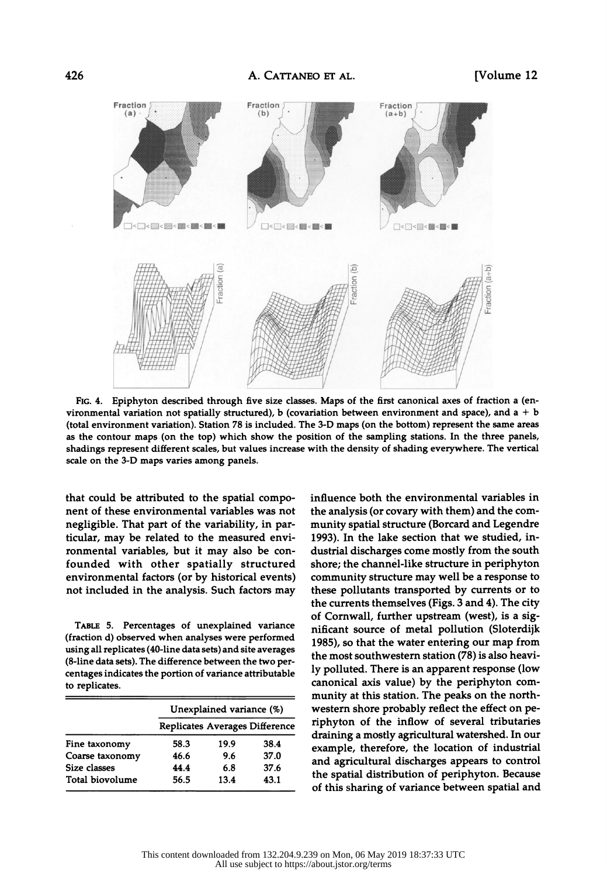

 FIG. 4. Epiphyton described through five size classes. Maps of the first canonical axes of fraction a (en vironmental variation not spatially structured), b (covariation between environment and space), and  $a + b$  (total environment variation). Station 78 is included. The 3-D maps (on the bottom) represent the same areas as the contour maps (on the top) which show the position of the sampling stations. In the three panels, shadings represent different scales, but values increase with the density of shading everywhere. The vertical scale on the 3-D maps varies among panels.

 that could be attributed to the spatial compo nent of these environmental variables was not negligible. That part of the variability, in par ticular, may be related to the measured envi ronmental variables, but it may also be con founded with other spatially structured environmental factors (or by historical events) not included in the analysis. Such factors may

 TABLE 5. Percentages of unexplained variance (fraction d) observed when analyses were performed using all replicates (40-line data sets) and site averages (8-line data sets). The difference between the two per centages indicates the portion of variance attributable to replicates.

|                 | Unexplained variance (%) |      |                                |  |
|-----------------|--------------------------|------|--------------------------------|--|
|                 |                          |      | Replicates Averages Difference |  |
| Fine taxonomy   | 58.3                     | 19.9 | 38.4                           |  |
| Coarse taxonomy | 46.6                     | 9.6  | 37.0                           |  |
| Size classes    | 44.4                     | 6.8  | 37.6                           |  |
| Total biovolume | 56.5                     | 13.4 | 43.1                           |  |

 influence both the environmental variables in the analysis (or covary with them) and the com munity spatial structure (Borcard and Legendre 1993). In the lake section that we studied, in dustrial discharges come mostly from the south shore; the channel-like structure in periphyton community structure may well be a response to these pollutants transported by currents or to the currents themselves (Figs. 3 and 4). The city of Cornwall, further upstream (west), is a sig nificant source of metal pollution (Sloterdijk 1985), so that the water entering our map from the most southwestern station (78) is also heavi ly polluted. There is an apparent response (low canonical axis value) by the periphyton com munity at this station. The peaks on the north western shore probably reflect the effect on pe riphyton of the inflow of several tributaries draining a mostly agricultural watershed. In our example, therefore, the location of industrial and agricultural discharges appears to control the spatial distribution of periphyton. Because of this sharing of variance between spatial and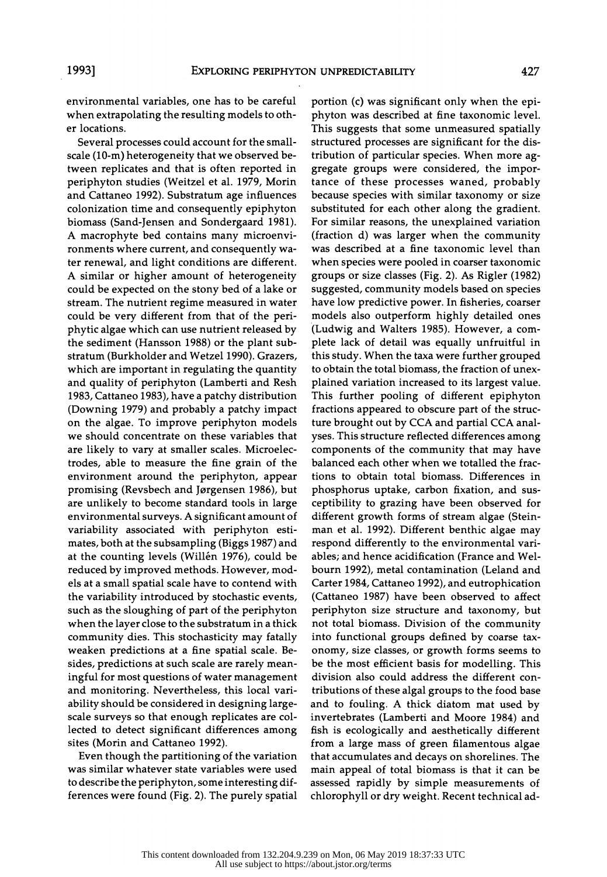environmental variables, one has to be careful when extrapolating the resulting models to oth er locations.

 Several processes could account for the small scale (10-m) heterogeneity that we observed be tween replicates and that is often reported in periphyton studies (Weitzel et al. 1979, Morin and Cattaneo 1992). Substratum age influences colonization time and consequently epiphyton biomass (Sand-Jensen and Sondergaard 1981). A macrophyte bed contains many microenvi ronments where current, and consequently wa ter renewal, and light conditions are different. A similar or higher amount of heterogeneity could be expected on the stony bed of a lake or stream. The nutrient regime measured in water could be very different from that of the peri phytic algae which can use nutrient released by the sediment (Hansson 1988) or the plant sub stratum (Burkholder and Wetzel 1990). Grazers, which are important in regulating the quantity and quality of periphyton (Lamberti and Resh 1983, Cattaneo 1983), have a patchy distribution (Downing 1979) and probably a patchy impact on the algae. To improve periphyton models we should concentrate on these variables that are likely to vary at smaller scales. Microelec trodes, able to measure the fine grain of the environment around the periphyton, appear promising (Revsbech and Jørgensen 1986), but are unlikely to become standard tools in large environmental surveys. A significant amount of variability associated with periphyton esti mates, both at the subsampling (Biggs 1987) and at the counting levels (Willén 1976), could be reduced by improved methods. However, mod els at a small spatial scale have to contend with the variability introduced by stochastic events, such as the sloughing of part of the periphyton when the layer close to the substratum in a thick community dies. This stochasticity may fatally weaken predictions at a fine spatial scale. Be sides, predictions at such scale are rarely mean ingful for most questions of water management and monitoring. Nevertheless, this local vari ability should be considered in designing large scale surveys so that enough replicates are col lected to detect significant differences among sites (Morin and Cattaneo 1992).

 Even though the partitioning of the variation was similar whatever state variables were used to describe the periphyton, some interesting dif ferences were found (Fig. 2). The purely spatial

 portion (c) was significant only when the epi phyton was described at fine taxonomic level. This suggests that some unmeasured spatially structured processes are significant for the dis tribution of particular species. When more ag gregate groups were considered, the impor tance of these processes waned, probably because species with similar taxonomy or size substituted for each other along the gradient. For similar reasons, the unexplained variation (fraction d) was larger when the community was described at a fine taxonomic level than when species were pooled in coarser taxonomic groups or size classes (Fig. 2). As Rigler (1982) suggested, community models based on species have low predictive power. In fisheries, coarser models also outperform highly detailed ones (Ludwig and Walters 1985). However, a com plete lack of detail was equally unfruitful in this study. When the taxa were further grouped to obtain the total biomass, the fraction of unex plained variation increased to its largest value. This further pooling of different epiphyton fractions appeared to obscure part of the struc ture brought out by CCA and partial CCA anal yses. This structure reflected differences among components of the community that may have balanced each other when we totalled the frac tions to obtain total biomass. Differences in phosphorus uptake, carbon fixation, and sus ceptibility to grazing have been observed for different growth forms of stream algae (Stein man et al. 1992). Different benthic algae may respond differently to the environmental vari ables; and hence acidification (France and Wel bourn 1992), metal contamination (Leland and Carter 1984, Cattaneo 1992), and eutrophication (Cattaneo 1987) have been observed to affect periphyton size structure and taxonomy, but not total biomass. Division of the community into functional groups defined by coarse tax onomy, size classes, or growth forms seems to be the most efficient basis for modelling. This division also could address the different con tributions of these algal groups to the food base and to fouling. A thick diatom mat used by invertebrates (Lamberti and Moore 1984) and fish is ecologically and aesthetically different from a large mass of green filamentous algae that accumulates and decays on shorelines. The main appeal of total biomass is that it can be assessed rapidly by simple measurements of chlorophyll or dry weight. Recent technical ad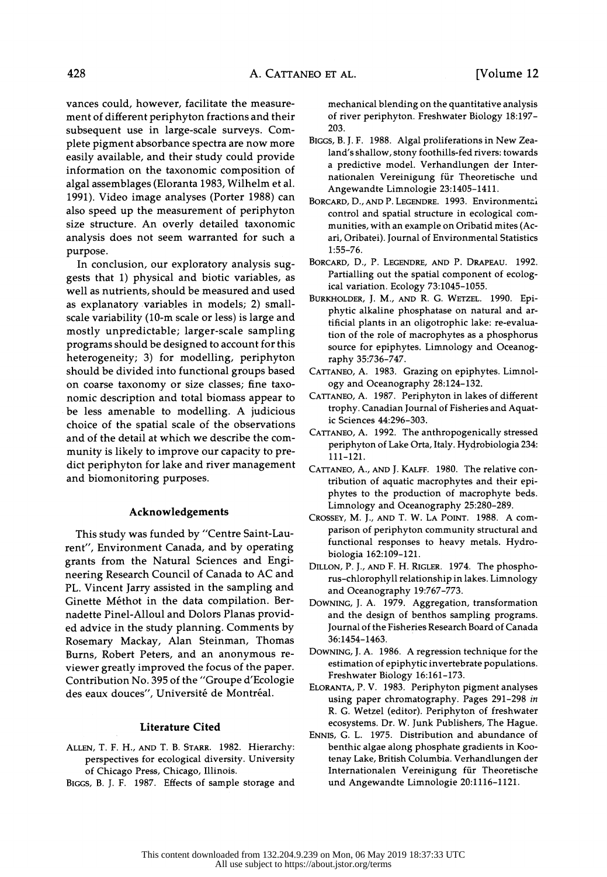vances could, however, facilitate the measure ment of different periphyton fractions and their subsequent use in large-scale surveys. Com plete pigment absorbance spectra are now more easily available, and their study could provide information on the taxonomic composition of algal assemblages (Eloranta 1983, Wilhelm et al. 1991). Video image analyses (Porter 1988) can also speed up the measurement of periphyton size structure. An overly detailed taxonomic analysis does not seem warranted for such a purpose.

 In conclusion, our exploratory analysis sug gests that 1) physical and biotic variables, as well as nutrients, should be measured and used as explanatory variables in models; 2) small scale variability (10-m scale or less) is large and mostly unpredictable; larger-scale sampling programs should be designed to account for this heterogeneity; 3) for modelling, periphyton should be divided into functional groups based on coarse taxonomy or size classes; fine taxo nomic description and total biomass appear to be less amenable to modelling. A judicious choice of the spatial scale of the observations and of the detail at which we describe the com munity is likely to improve our capacity to pre dict periphyton for lake and river management and biomonitoring purposes.

# Acknowledgements

 This study was funded by "Centre Saint-Lau rent", Environment Canada, and by operating grants from the Natural Sciences and Engi neering Research Council of Canada to AC and PL. Vincent Jarry assisted in the sampling and Ginette Méthot in the data compilation. Ber nadette Pinel-Alloul and Dolors Planas provid ed advice in the study planning. Comments by Rosemary Mackay, Alan Steinman, Thomas Burns, Robert Peters, and an anonymous re viewer greatly improved the focus of the paper. Contribution No. 395 of the "Groupe d'Ecologie des eaux douces", Université de Montréal.

#### Literature Cited

- ALLEN, T. F. H., AND T. B. STARR. 1982. Hierarchy: perspectives for ecological diversity. University of Chicago Press, Chicago, Illinois.
- BIGGS, B. J. F. 1987. Effects of sample storage and

 mechanical blending on the quantitative analysis of river periphyton. Freshwater Biology 18:197- 203.

- BIGGS, B. J. F. 1988. Algal proliferations in New Zea land's shallow, stony foothills-fed rivers: towards a predictive model. Verhandlungen der Inter nationalen Vereinigung für Theoretische und Angewandte Limnologie 23:1405-1411.
- BORCARD, D., AND P. LEGENDRE. 1993. Environmentai control and spatial structure in ecological com munities, with an example on Oribatid mites (Ac ari, Oribatei). Journal of Environmental Statistics 1:55-76.
- BORCARD, D., P. LEGENDRE, AND P. DRAPEAU. 1992. Partialling out the spatial component of ecolog ical variation. Ecology 73:1045-1055.
- BURKHOLDER, J. M., AND R. G. WETZEL. 1990. Epi phytic alkaline phosphatase on natural and ar tificial plants in an oligotrophic lake: re-evalua tion of the role of macrophytes as a phosphorus source for epiphytes. Limnology and Oceanog raphy 35:736-747.
- CATTANEO, A. 1983. Grazing on epiphytes. Limnol ogy and Oceanography 28:124-132.
- CATTANEO, A. 1987. Periphyton in lakes of different trophy. Canadian Journal of Fisheries and Aquat ic Sciences 44:296-303.
- CATTANEO, A. 1992. The anthropogenically stressed periphyton of Lake Orta, Italy. Hydrobiologia 234: 111-121.
- CATTANEO, A., AND J. KALFF. 1980. The relative con tribution of aquatic macrophytes and their epi phytes to the production of macrophyte beds. Limnology and Oceanography 25:280-289.
- CROSSEY, M. J., AND T. W. LA POINT. 1988. A com parison of periphyton community structural and functional responses to heavy metals. Hydro biologia 162:109-121.
- DILLON, P. J., AND F. H. RIGLER. 1974. The phospho rus-chlorophyll relationship in lakes. Limnology and Oceanography 19:767-773.
- DOWNING, J. A. 1979. Aggregation, transformation and the design of benthos sampling programs. Journal of the Fisheries Research Board of Canada 36:1454-1463.
- DOWNING, J. A. 1986. A regression technique for the estimation of epiphytic invertebrate populations. Freshwater Biology 16:161-173.
- ELORANTA, P. V. 1983. Periphyton pigment analyses using paper chromatography. Pages 291-298 in R. G. Wetzel (editor). Periphyton of freshwater ecosystems. Dr. W. Junk Publishers, The Hague.
- ENNIS, G. L. 1975. Distribution and abundance of benthic algae along phosphate gradients in Koo tenay Lake, British Columbia. Verhandlungen der Internationalen Vereinigung für Theoretische und Angewandte Limnologie 20:1116-1121.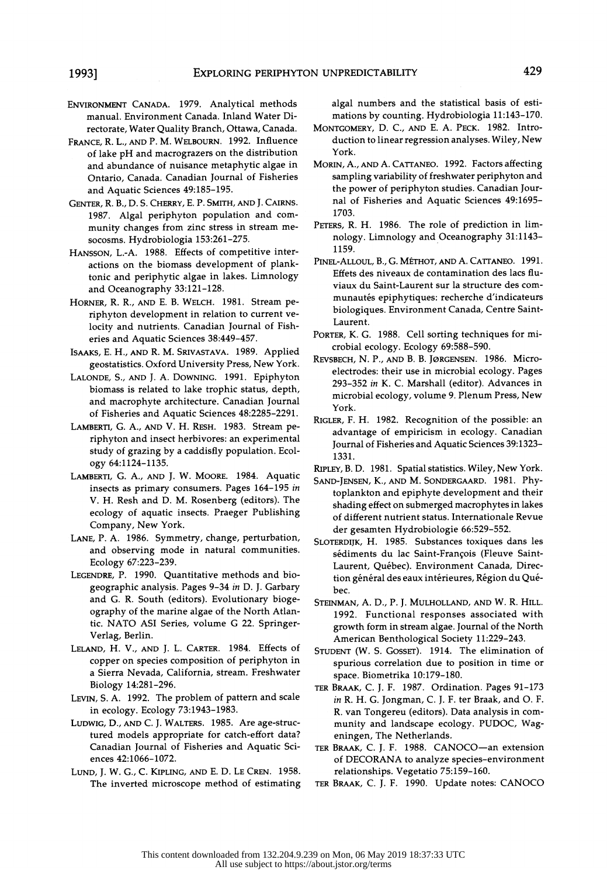- ENVIRONMENT CANADA. 1979. Analytical methods manual. Environment Canada. Inland Water Di rectorate, Water Quality Branch, Ottawa, Canada.
- FRANCE, R. L., AND P. M. WELBOURN. 1992. Influence of lake pH and macrograzers on the distribution and abundance of nuisance metaphytic algae in Ontario, Canada. Canadian Journal of Fisheries and Aquatic Sciences 49:185-195.
- GENTER, R. B., D. S. CHERRY, E. P. SMITH, AND J. CAIRNS. 1987. Algal periphyton population and com munity changes from zinc stress in stream me socosms. Hydrobiologia 153:261-275.
- HANSSON, L.-A. 1988. Effects of competitive inter actions on the biomass development of plank tonic and periphytic algae in lakes. Limnology and Oceanography 33:121-128.
- HORNER, R. R., AND E. B. WELCH. 1981. Stream pe riphyton development in relation to current ve locity and nutrients. Canadian Journal of Fish eries and Aquatic Sciences 38:449-457.
- ISAAKS, E. H., AND R. M. SRIVASTAVA. 1989. Applied geostatistics. Oxford University Press, New York.
- LALONDE, S., AND J. A. DOWNING. 1991. Epiphyton biomass is related to lake trophic status, depth, and macrophyte architecture. Canadian Journal of Fisheries and Aquatic Sciences 48:2285-2291.
- LAMBERTI, G. A., AND V. H. RESH. 1983. Stream pe riphyton and insect herbivores: an experimental study of grazing by a caddisfly population. Ecol ogy 64:1124-1135.
- LAMBERTI, G. A., AND J. W. MOORE. 1984. Aquatic insects as primary consumers. Pages 164-195 in V. H. Resh and D. M. Rosenberg (editors). The ecology of aquatic insects. Praeger Publishing Company, New York.
- LANE, P. A. 1986. Symmetry, change, perturbation, and observing mode in natural communities. Ecology 67:223-239.
- LEGENDRE, P. 1990. Quantitative methods and bio geographic analysis. Pages 9-34 in D. J. Garbary and G. R. South (editors). Evolutionary bioge ography of the marine algae of the North Atlan tic. NATO ASI Series, volume G 22. Springer- Verlag, Berlin.
- LELAND, H. V., AND J. L. CARTER. 1984. Effects of copper on species composition of periphyton in a Sierra Nevada, California, stream. Freshwater Biology 14:281-296.
- LEVIN, S. A. 1992. The problem of pattern and scale in ecology. Ecology 73:1943-1983.
- LUDWIG, D., AND C. J. WALTERS. 1985. Are age-struc tured models appropriate for catch-effort data? Canadian Journal of Fisheries and Aquatic Sci ences 42:1066-1072.
- LUND, J. W. G., C. KIPLING, AND E. D. LE CREN. 1958. The inverted microscope method of estimating

 algal numbers and the statistical basis of esti mations by counting. Hydrobiologia 11:143-170.

- MONTGOMERY, D. C., AND E. A. PECK. 1982. Intro duction to linear regression analyses. Wiley, New York.
- MORIN, A., AND A. CATTANEO. 1992. Factors affecting sampling variability of freshwater periphyton and the power of periphyton studies. Canadian Jour nal of Fisheries and Aquatic Sciences 49:1695- 1703.
- PETERS, R. H. 1986. The role of prediction in lim nology. Limnology and Oceanography 31:1143- 1159.
- PINEL-ALLOUL, B., G. METHOT, AND A. CATTANEO. 1991. Effets des niveaux de contamination des lacs flu viaux du Saint-Laurent sur la structure des com munautés epiphytiques: recherche d'indicateurs biologiques. Environment Canada, Centre Saint- Laurent.
- PORTER, K. G. 1988. Cell sorting techniques for mi crobial ecology. Ecology 69:588-590.
- REVSBECH, N. P., AND B. B. J0RGENSEN. 1986. Micro electrodes: their use in microbial ecology. Pages 293-352 in K. C. Marshall (editor). Advances in microbial ecology, volume 9. Plenum Press, New York.
- RIGLER, F. H. 1982. Recognition of the possible: an advantage of empiricism in ecology. Canadian Journal of Fisheries and Aquatic Sciences 39:1323- 1331.
- RIPLEY, B. D. 1981. Spatial statistics. Wiley, New York.
- SAND-JENSEN, K., AND M. SONDERGAARD. 1981. Phy toplankton and epiphyte development and their shading effect on submerged macrophytes in lakes of different nutrient status. Internationale Revue der gesamten Hydrobiologie 66:529-552.
- SLOTERDIJK, H. 1985. Substances toxiques dans les sediments du lac Saint-Francois (Fleuve Saint- Laurent, Québec). Environment Canada, Direction général des eaux intérieures, Région du Québec.
- STEINMAN, A. D., P. J. MULHOLLAND, AND W. R. HILL. 1992. Functional responses associated with growth form in stream algae. Journal of the North American Benthological Society 11:229-243.
- STUDENT (W. S. GOSSET). 1914. The elimination of spurious correlation due to position in time or space. Biometrika 10:179-180.
- TER BRAAK, C. J. F. 1987. Ordination. Pages 91-173 in R. H. G. Jongman, C. J. F. ter Braak, and O. F. R. van Tongereu (editors). Data analysis in com munity and landscape ecology. PUDOC, Wag eningen, The Netherlands.
- TER BRAAK, C. J. F. 1988. CANOCO-an extension of DECORANA to analyze species-environment relationships. Vegetatio 75:159-160.
- TER BRAAK, C. J. F. 1990. Update notes: CANOCO